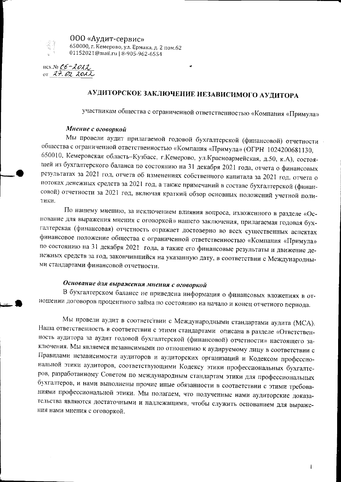

000 «Аудит-сервис» 650000, г. Кемерово, ул. Ермака, д. 2 пом.62 01152021@mail.ru | 8-905-962-6554

Hex.No  $06 - 2022$ or  $27.62.2022$ 

# АУДИТОРСКОЕ ЗАКЛЮЧЕНИЕ НЕЗАВИСИМОГО АУДИТОРА

участникам общества с ограниченной ответственностью «Компания «Примула»

#### Мнение с оговоркой

Мы провели аудит прилагаемой годовой бухгалтерской (финансовой) отчетности общества с ограниченной ответственностью «Компания «Примула» (ОГРН 1024200681130, 650010, Кемеровская область-Кузбасс, г.Кемерово, ул.Красноармейская, д.50, к.А), состоящей из бухгалтерского баланса по состоянию на 31 декабря 2021 года, отчета о финансовых результатах за 2021 год, отчета об изменениях собственного капитала за 2021 год, отчета о потоках денежных средств за 2021 год, а также примечаний в составе бухгалтерской (финансовой) отчетности за 2021 год, включая краткий обзор основных положений учетной политики.

По нашему мнению, за исключением влияния вопроса, изложенного в разделе «Основание для выражения мнения с оговоркой» нашего заключения, прилагаемая годовая бухгалтерская (финансовая) отчетность отражает достоверно во всех существенных аспектах финансовое положение общества с ограниченной ответственностью «Компания «Примула» по состоянию на 31 декабря 2021 года, а также его финансовые результаты и движение денежных средств за год, закончившийся на указанную дату, в соответствии с Международными стандартами финансовой отчетности.

## Основание для выражения мнения с оговоркой

В бухгалтерском балансе не приведена информация о финансовых вложениях в отношении договоров процентного займа но состоянию на начало и конец отчетного периода.

Мы провели аудит в соответствии с Международными стандартами аудита (МСА). Наша ответственность в соответствии с этими стандартами описана в разделе «Ответственность аудитора за аудит годовой бухгалтерской (финансовой) отчетности» настоящего заключения. Мы являемся независимыми по отношению к аудируемому лицу в соответствии с Правилами независимости аудиторов и аудиторских организаций и Кодексом профессиональной этики аудиторов, соответствующими Кодексу этики профессиональных бухгалтеров, разработанному Советом по международным стандартам этики для профессиональных бухгалтеров, и нами выполнены прочие иные обязанности в соответствии с этими требованиями профессиональной этики. Мы полагаем, что полученные нами аудиторские доказательства являются достаточными и надлежащими, чтобы служить основанием для выражения нами мнения с оговоркой.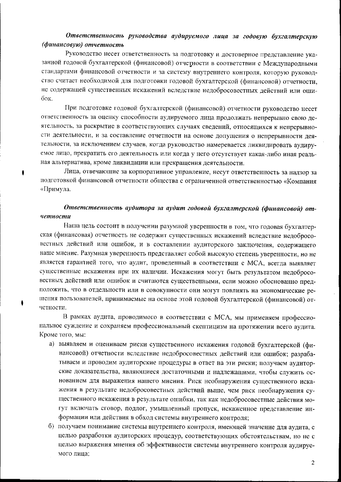### Ответственность руководства аудируемого лица за годовую бухгалтерскую (финансовую) отчетность

Руководство несет ответственность за подготовку и достоверное представление указанной годовой бухгалтерской (финансовой) отчетности в соответствии с Международными стандартами финансовой отчетности и за систему внутреннего контроля, которую руководство считает необходимой для подготовки годовой бухгалтерской (финансовой) отчетности, не содержащей существенных искажений вследствие недобросовестных действий или оши- $\overline{0}$ ок.

При подготовке годовой бухгалтерской (финансовой) отчетности руководство несет ответственность за оценку способности аудируемого лица продолжать непрерывно свою деятельность, за раскрытие в соответствующих случаях сведений, относящихся к непрерывности деятельности, и за составление отчетности на основе допущения о непрерывности деятельности, за исключением случаев, когда руководство намеревается ликвидировать аудируемое лицо, прекратить его деятельность или когда у него отсутствует какая-либо иная реальная альтернатива, кроме ликвидации или прекращения деятельности.

Лица, отвечающие за корпоративное управление, несут ответственность за надзор за подготовкой финансовой отчетности общества с ограниченной ответственностью «Компания «Примула.

۰

### Ответственность аудитора за аудит годовой бухгалтерской (финансовой) отчетности

Наша цель состоит в получении разумной уверенности в том, что годовая бухгалтерская (финансовая) отчетность не содержит существенных искажений вследствие недобросовестных действий или ошибок, и в составлении аудиторского заключения, содержащего наше мнение. Разумная уверенность представляет собой высокую степень уверенности, но не является гарантией того, что аудит, проведенный в соответствии с МСА, всегда выявляет существенные искажения при их наличии. Искажения могут быть результатом недобросовестных действий или ошибок и считаются существенными, если можно обоснованно предположить, что в отдельности или в совокупности они могут повлиять на экономические решения пользователей, принимаемые на основе этой годовой бухгалтерской (финансовой) отчетности.

В рамках аудита, проводимого в соответствии с МСА, мы применяем профессиональное суждение и сохраняем профессиональный скептицизм на протяжении всего аудита. Кроме того, мы:

- а) выявляем и оцениваем риски существенного искажения годовой бухгалтерской (финансовой) отчетности вследствие недобросовестных действий или ошибок; разрабатываем и проводим аудиторские процедуры в ответ на эти риски; получаем аудиторские доказательства, являющиеся достаточными и надлежащими, чтобы служить основанием для выражения нашего мнения. Риск необнаружения существенного искажения в результате недобросовестных действий выше, чем риск необнаружения существенного искажения в результате ошибки, так как недобросовестные действия могут включать сговор, подлог, умышленный пропуск, искаженное представление информации или действия в обход системы внутреннего контроля;
- б) получаем понимание системы внутреннего контроля, имеющей значение для аудита, с целью разработки аудиторских процедур, соответствующих обстоятельствам, но не с целью выражения мнения об эффективности системы внутреннего контроля аудируемого лица;

 $\overline{2}$